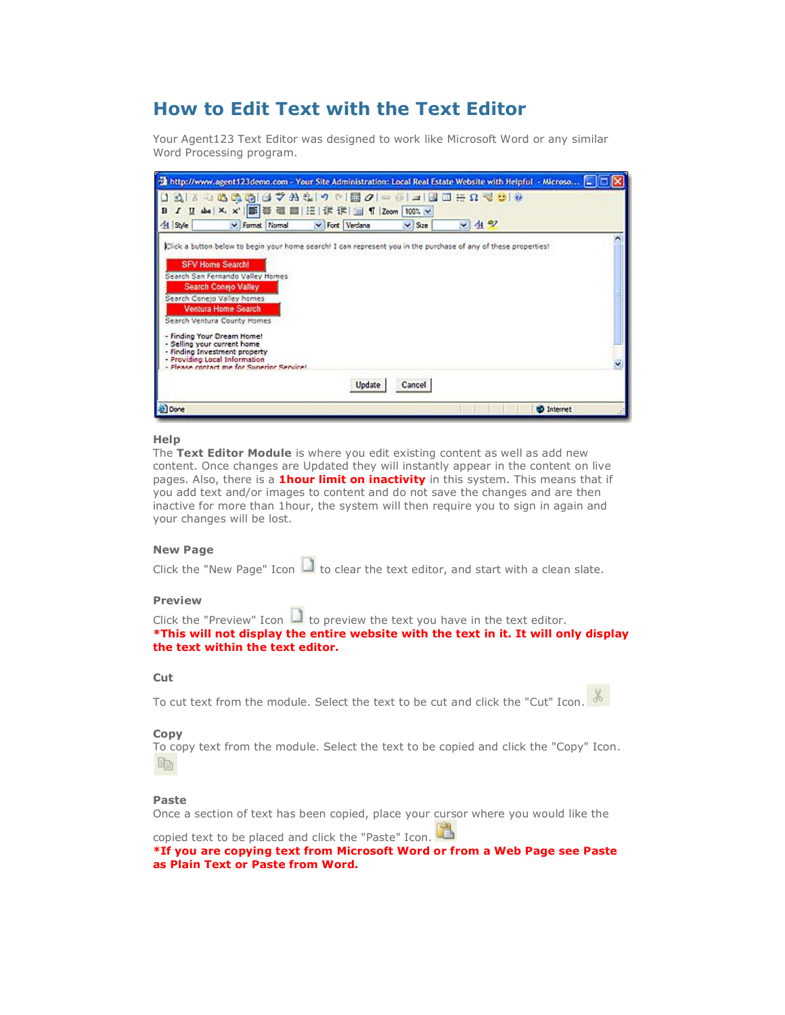# **How to Edit Text with the Text Editor**

Your Agent123 Text Editor was designed to work like Microsoft Word or any similar Word Processing program.



#### **Help**

The **Text Editor Module** is where you edit existing content as well as add new content. Once changes are Updated they will instantly appear in the content on live pages. Also, there is a **1hour limit on inactivity** in this system. This means that if you add text and/or images to content and do not save the changes and are then inactive for more than 1hour, the system will then require you to sign in again and your changes will be lost.

### **New Page**

Click the "New Page" Icon  $\Box$  to clear the text editor, and start with a clean slate.

## **Preview**

Click the "Preview" Icon  $\Box$  to preview the text you have in the text editor. **\*This will not display the entire website with the text in it. It will only display the text within the text editor.**

## **Cut**

To cut text from the module. Select the text to be cut and click the "Cut" Icon.

#### **Copy**

To copy text from the module. Select the text to be copied and click the "Copy" Icon. 酯

#### **Paste**

Once a section of text has been copied, place your cursor where you would like the

copied text to be placed and click the "Paste" Icon. **\*If you are copying text from Microsoft Word or from a Web Page see Paste as Plain Text or Paste from Word.**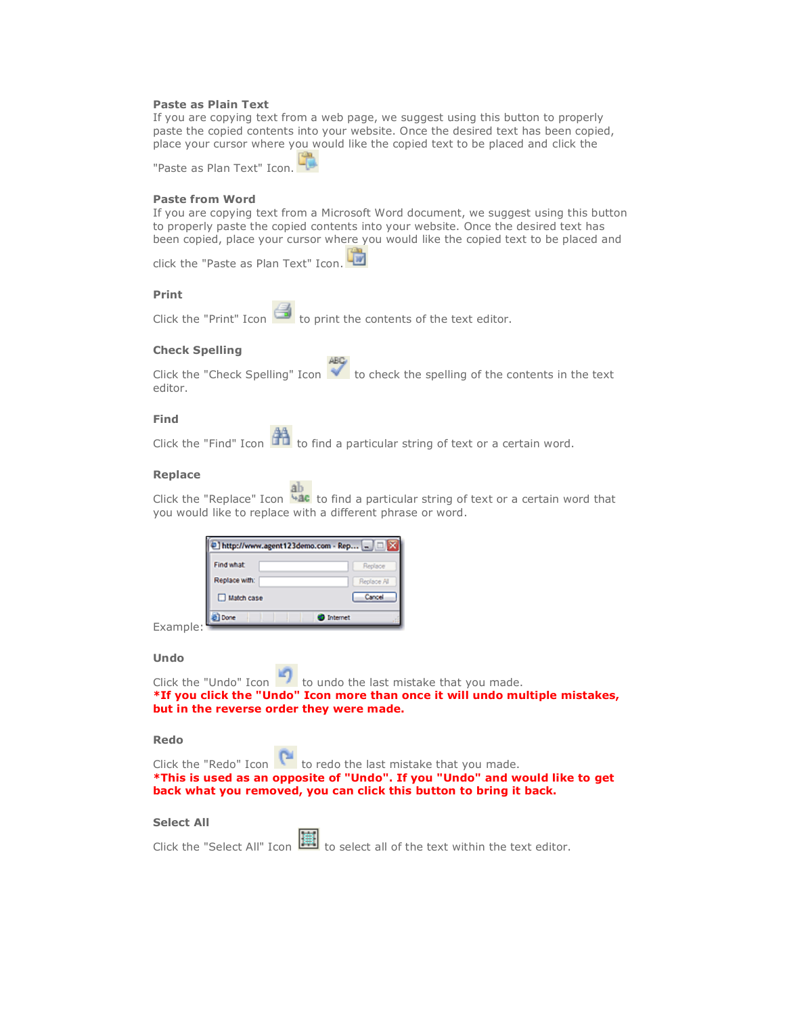### **Paste as Plain Text**

If you are copying text from a web page, we suggest using this button to properly paste the copied contents into your website. Once the desired text has been copied, place your cursor where you would like the copied text to be placed and click the

"Paste as Plan Text" Icon.

#### **Paste from Word**

If you are copying text from a Microsoft Word document, we suggest using this button to properly paste the copied contents into your website. Once the desired text has been copied, place your cursor where you would like the copied text to be placed and

click the "Paste as Plan Text" Icon.

## **Print**

Click the "Print" Icon  $\Box$  to print the contents of the text editor.

## **Check Spelling**

Click the "Check Spelling" Icon  $\blacklozenge$  to check the spelling of the contents in the text editor.

## **Find**

Click the "Find" Icon  $\mathbb{R}^n$  to find a particular string of text or a certain word.

## **Replace**

Click the "Replace" Icon  $\frac{ab}{b}$  to find a particular string of text or a certain word that you would like to replace with a different phrase or word.

| Find what     | Replace     |
|---------------|-------------|
| Replace with: | Replace All |
| Match case    | Cancel      |

**Silver of** 

**TAR** 

Example:

#### **Undo**

Click the "Undo" Icon  $\blacksquare$  to undo the last mistake that you made. **\*If you click the "Undo" Icon more than once it will undo multiple mistakes, but in the reverse order they were made.**

### **Redo**

| back what you removed, you can click this button to bring it back.          |
|-----------------------------------------------------------------------------|
| *This is used as an opposite of "Undo". If you "Undo" and would like to get |
| Click the "Redo" Icon to redo the last mistake that you made.               |

#### **Select All**

|  |  | Click the "Select All" Icon <b>IEE</b> to select all of the text within the text editor. |
|--|--|------------------------------------------------------------------------------------------|
|--|--|------------------------------------------------------------------------------------------|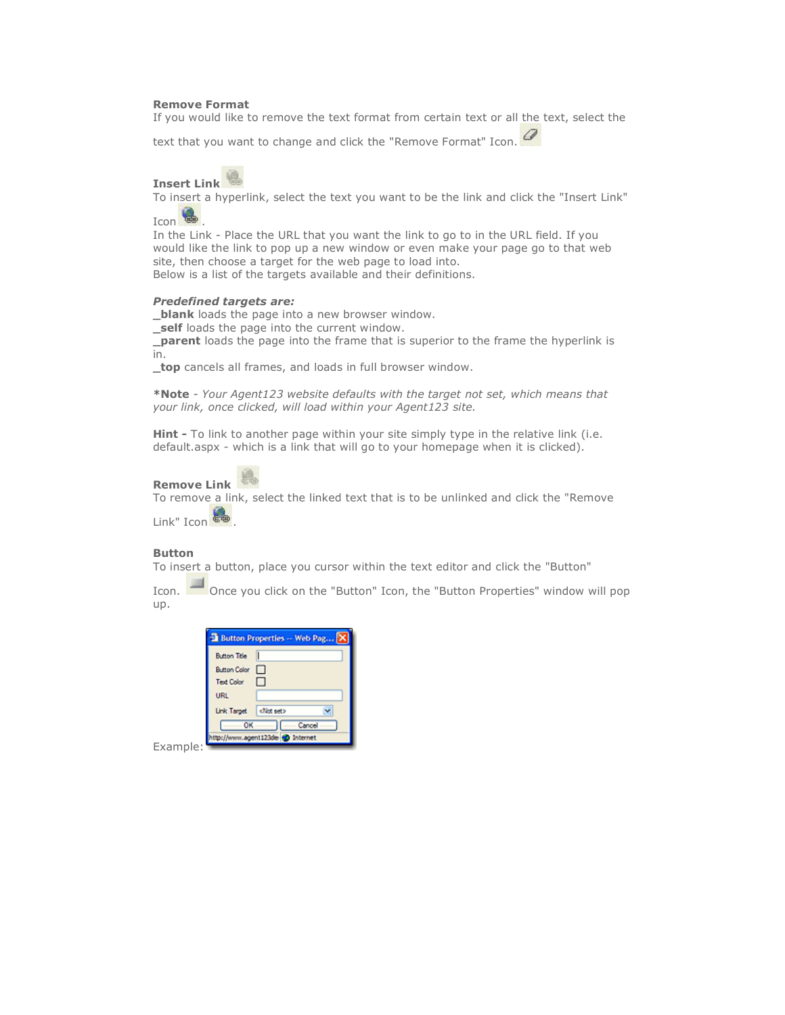#### **Remove Format**

If you would like to remove the text format from certain text or all the text, select the

text that you want to change and click the "Remove Format" Icon.

## **Insert Link**

To insert a hyperlink, select the text you want to be the link and click the "Insert Link" Icon  $\bullet$ 

In the Link - Place the URL that you want the link to go to in the URL field. If you would like the link to pop up a new window or even make your page go to that web site, then choose a target for the web page to load into. Below is a list of the targets available and their definitions.

#### *Predefined targets are:*

**blank** loads the page into a new browser window. **\_self** loads the page into the current window.

**\_parent** loads the page into the frame that is superior to the frame the hyperlink is in.

**\_top** cancels all frames, and loads in full browser window.

**\*Note** *- Your Agent123 website defaults with the target not set, which means that your link, once clicked, will load within your Agent123 site.*

**Hint -** To link to another page within your site simply type in the relative link (i.e. default.aspx - which is a link that will go to your homepage when it is clicked).

## **Remove Link**

To remove a link, select the linked text that is to be unlinked and click the "Remove Link" Icon

### **Button**

To insert a button, place you cursor within the text editor and click the "Button"

Icon. Once you click on the "Button" Icon, the "Button Properties" window will pop up.

|                                      | <b>Button Properties -- Web Pag</b> |
|--------------------------------------|-------------------------------------|
| <b>Button Title</b>                  |                                     |
| Button Color                         |                                     |
| <b>Text Color</b>                    |                                     |
| URL.                                 |                                     |
| Link Target   <not set=""></not>     |                                     |
| OK                                   | Cancel                              |
| tp://www.agent123de <a> Internet</a> |                                     |

Example: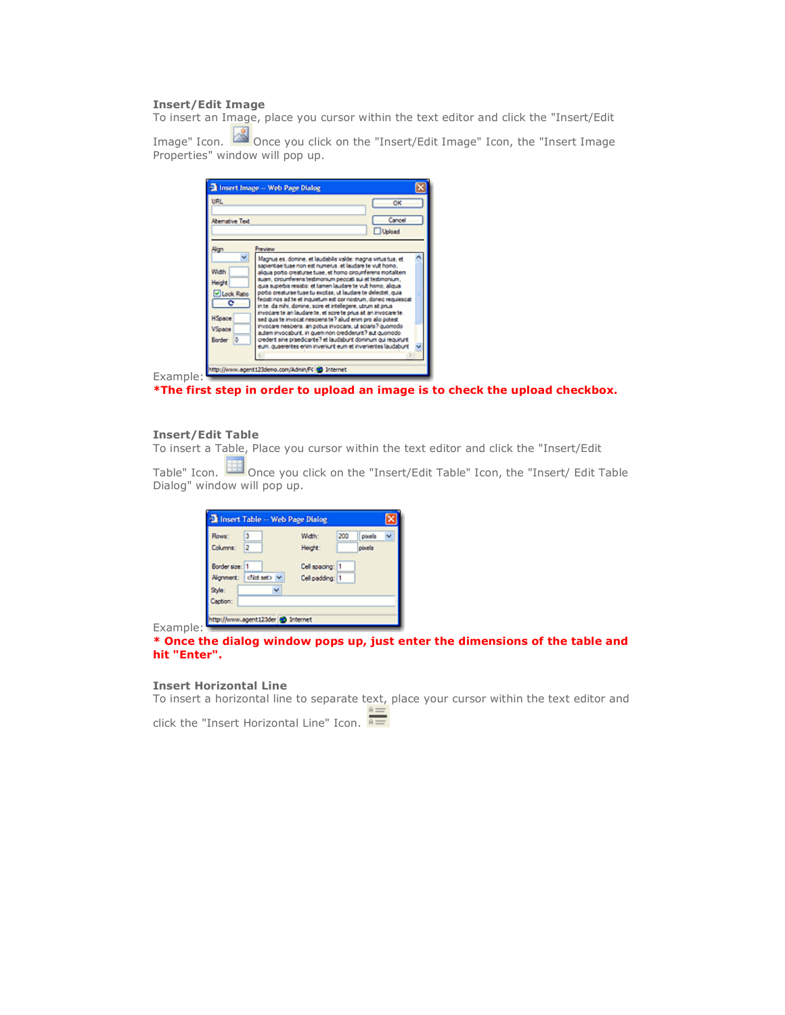## **Insert/Edit Image**

To insert an Image, place you cursor within the text editor and click the "Insert/Edit

Image" Icon. **Of all can** Once you click on the "Insert/Edit Image" Icon, the "Insert Image Properties" window will pop up.

|                                                                                                        | Insert Image -- Web Page Dialog                                                                                                                                                                                                                                                                                                                                                                                                                                                                                                                                                                                                                                                                                                                                                                                                                                                                                                      |
|--------------------------------------------------------------------------------------------------------|--------------------------------------------------------------------------------------------------------------------------------------------------------------------------------------------------------------------------------------------------------------------------------------------------------------------------------------------------------------------------------------------------------------------------------------------------------------------------------------------------------------------------------------------------------------------------------------------------------------------------------------------------------------------------------------------------------------------------------------------------------------------------------------------------------------------------------------------------------------------------------------------------------------------------------------|
| <b>URL</b><br>Alemative Text                                                                           | OK<br>Cancel<br>Upload                                                                                                                                                                                                                                                                                                                                                                                                                                                                                                                                                                                                                                                                                                                                                                                                                                                                                                               |
| Algn<br>v<br>Wah<br><b>Height</b><br>O Lock Ratio<br>$^{\circ}$<br><b>HSpace</b><br>Vspace<br>Border 0 | Presient<br>Magnus es, domine, et laudabilis valde: magna virtus tua, et<br>sapierdae tuae non est numerus, et laudare te vuit homo<br>alqua porto creaturae tuae, et homo circumferens motalitem.<br>suam, circumferens testimonium peccati sui et testimonium,<br>quia superbis resistis: et tamen laudare te vuit homo, aliqua<br>portio creaturae tuae tu excitas, ut laudare te delectet, quia<br>feciati nos ad te et inquietum est cor nostrum, donec requiescat<br>in tel da mihi, domine, scire et intellegere, utrum sit prius-<br>invocare te an laudare te, et scire te prius sit an invocare te.<br>sed quis te invocat nesciens te ? alud enim pro alio potest<br>invocare nesciens, an potius invocaris, ut sciaris? quomodo<br>autem invocabunt, in quem non crediderunt? aut quomodo<br>credent sine praedicante? et laudabunt dominum qui requirunt<br>eum, quaerentes enim inveniunt eum et invenientes laudabunt |
| Example:                                                                                               | http://www.agent123demo.com/Admin.FK 40 Internet                                                                                                                                                                                                                                                                                                                                                                                                                                                                                                                                                                                                                                                                                                                                                                                                                                                                                     |

**\*The first step in order to upload an image is to check the upload checkbox.**

#### **Insert/Edit Table**

To insert a Table, Place you cursor within the text editor and click the "Insert/Edit

Table" Icon.  $\Box$  Once you click on the "Insert/Edit Table" Icon, the "Insert/ Edit Table Dialog" window will pop up.

| <b>El Insert Table -- Web Page Dialog</b> |                                                    |  |
|-------------------------------------------|----------------------------------------------------|--|
| Rows:<br>Columns:<br>2                    | 200<br>pixels<br>Width:<br>pouels<br><b>Height</b> |  |
| Border size: 1<br>Nighment: dict set> v   | Cell spacing: 11<br>Cell padding: 1                |  |
| v<br>Syle:<br>Caption:                    |                                                    |  |
| http://www.agent123der @ Internet         |                                                    |  |

Example:

## **\* Once the dialog window pops up, just enter the dimensions of the table and hit "Enter".**

## **Insert Horizontal Line**

To insert a horizontal line to separate text, place your cursor within the text editor and

click the "Insert Horizontal Line" Icon.  $\overline{\overline{a}}$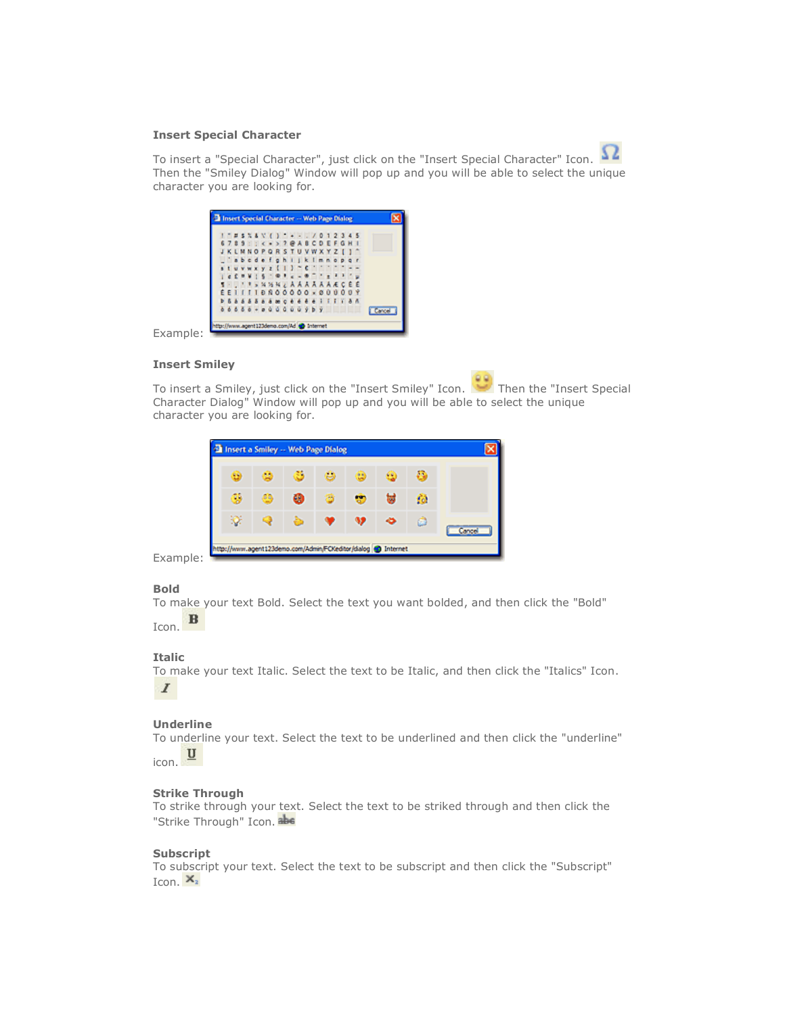#### **Insert Special Character**



To insert a "Special Character", just click on the "Insert Special Character" Icon. Then the "Smiley Dialog" Window will pop up and you will be able to select the unique character you are looking for.

|  |  |  |  |  | $1 - 2345$ $10 - 12345$                           |  |  |  |  |               |
|--|--|--|--|--|---------------------------------------------------|--|--|--|--|---------------|
|  |  |  |  |  | 6789:: < * > ? @ A B C D E F G H I                |  |  |  |  |               |
|  |  |  |  |  | <b>JKLMNOPORSTUVWXYZII</b>                        |  |  |  |  |               |
|  |  |  |  |  | abcdefghijklmnopgr                                |  |  |  |  |               |
|  |  |  |  |  | $s$ tuvwxyz{ } <sup>-</sup> C <sup>--</sup>       |  |  |  |  |               |
|  |  |  |  |  | $1.657115 - 0.16 - 0.16111$                       |  |  |  |  |               |
|  |  |  |  |  | <b>BILITSWWWZAAAAAACEE</b>                        |  |  |  |  |               |
|  |  |  |  |  | $E E I I I I B R 0 0 0 0 0 0 0 0 0 0 0 0$         |  |  |  |  |               |
|  |  |  |  |  | <b>b. 5 a a 5 a a a a c e e e e e i i i i a A</b> |  |  |  |  |               |
|  |  |  |  |  | $66666 + 0000000959$                              |  |  |  |  | <b>Cancel</b> |

Example:

#### **Insert Smiley**

To insert a Smiley, just click on the "Insert Smiley" Icon. Then the "Insert Special Character Dialog" Window will pop up and you will be able to select the unique character you are looking for.



Example:

## **Bold**

To make your text Bold. Select the text you want bolded, and then click the "Bold"  $\, {\bf B}$ Icon.

### **Italic**

To make your text Italic. Select the text to be Italic, and then click the "Italics" Icon.  $\boldsymbol{I}$ 

## **Underline**

To underline your text. Select the text to be underlined and then click the "underline"  $\overline{\mathbf{u}}$ icon.

## **Strike Through**

To strike through your text. Select the text to be striked through and then click the "Strike Through" Icon. abe

## **Subscript**

To subscript your text. Select the text to be subscript and then click the "Subscript" Icon.  $X_2$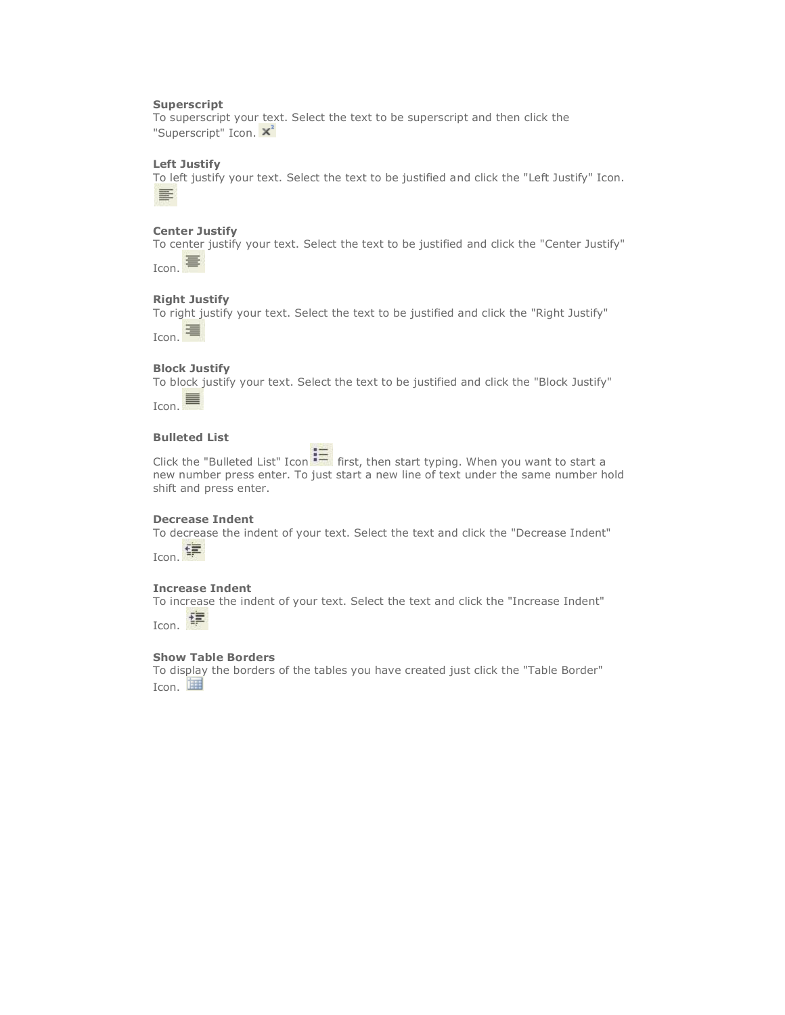## **Superscript**

To superscript your text. Select the text to be superscript and then click the "Superscript" Icon. X<sup>2</sup>

## **Left Justify**

To left justify your text. Select the text to be justified and click the "Left Justify" Icon. 国

## **Center Justify**

To center justify your text. Select the text to be justified and click the "Center Justify" Icon. <sup>三</sup>

## **Right Justify**

To right justify your text. Select the text to be justified and click the "Right Justify"



## **Block Justify**

To block justify your text. Select the text to be justified and click the "Block Justify"

Icon.  $\blacksquare$ 

## **Bulleted List**

Click the "Bulleted List" Icon  $\mathbf{f} = \mathbf{f}$  first, then start typing. When you want to start a new number press enter. To just start a new line of text under the same number hold shift and press enter.

## **Decrease Indent**

To decrease the indent of your text. Select the text and click the "Decrease Indent" Icon. **宇** 

## **Increase Indent**

To increase the indent of your text. Select the text and click the "Increase Indent"

拝 Icon.

## **Show Table Borders**

To display the borders of the tables you have created just click the "Table Border" Icon.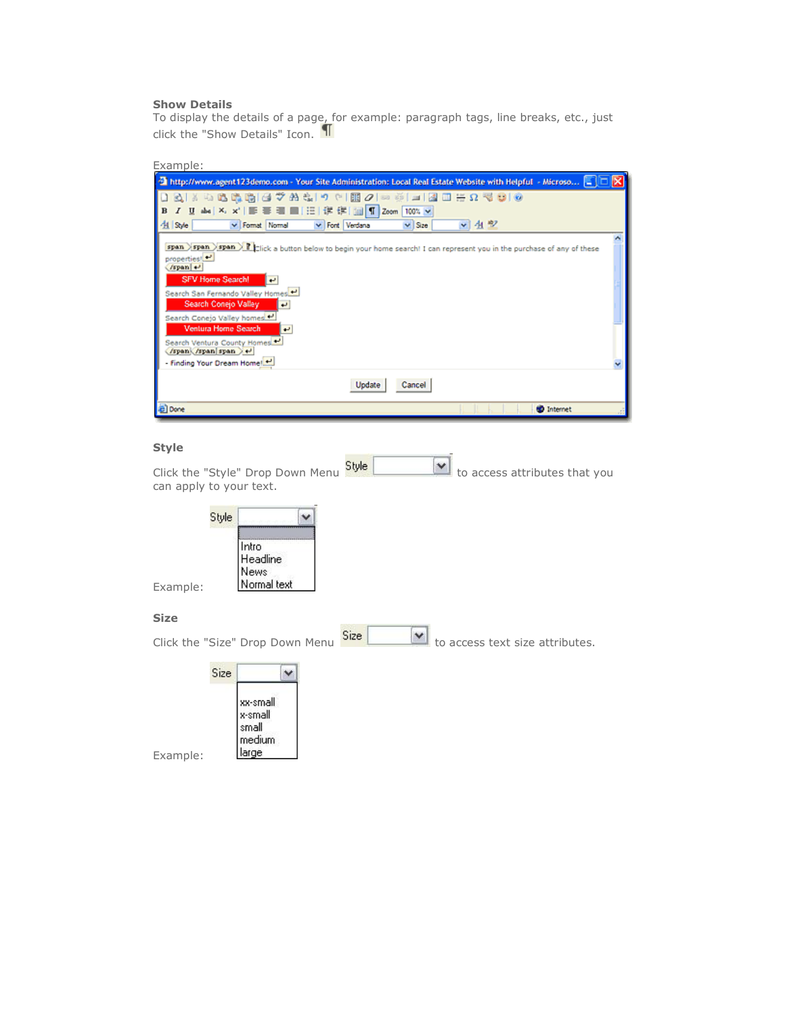## **Show Details**

To display the details of a page, for example: paragraph tags, line breaks, etc., just click the "Show Details" Icon.

| Examp |  |
|-------|--|
|       |  |

| Thttp://www.agent123demo.com - Your Site Administration: Local Real Estate Website with Helpful - Microso E                              |  |
|------------------------------------------------------------------------------------------------------------------------------------------|--|
| 口はしては赤原にてめずって<br><b>BB</b><br>$\mathcal{Q}$<br>事 理 ■ 田 详 详 I 国 T Zoom 100% ><br>$I$ U abs $X$ , $X'$<br>B                                |  |
| ▼生型<br>41 Syle<br>v Font Verdana<br>v Format Normal<br>$\vee$ Size                                                                       |  |
| span >span >span > 7   cick a button below to begin your home search! I can represent you in the purchase of any of these<br>properties! |  |
| $/span$ $\rightarrow$                                                                                                                    |  |
| <b>SFV Home Search!</b><br>l el<br>Search San Fernando Valley Homes                                                                      |  |
| Search Conejo Valley<br><b>P</b>                                                                                                         |  |
| Search Conejo Valley homes<br>Ventura Home Search<br>فيه                                                                                 |  |
| Search Ventura County Homes<br>/span /span span > +                                                                                      |  |
| - Finding Your Dream Home!                                                                                                               |  |
| Update<br>Cancel                                                                                                                         |  |
| al Done<br><b>D</b> Internet                                                                                                             |  |

## **Style**

Click the "Style" Drop Down Menu  $\frac{\text{Style}}{\text{\_}}$  to access attributes that you can apply to your text.

| Intro<br>Headline |             |
|-------------------|-------------|
|                   | <b>News</b> |

## **Size**

Example:

| Click the "Size" Drop Down Menu                            | Size<br>×<br>to access text size attributes. |
|------------------------------------------------------------|----------------------------------------------|
| Size                                                       |                                              |
| xx-small<br>x-small<br>small<br>medium<br>arge<br>Example: |                                              |